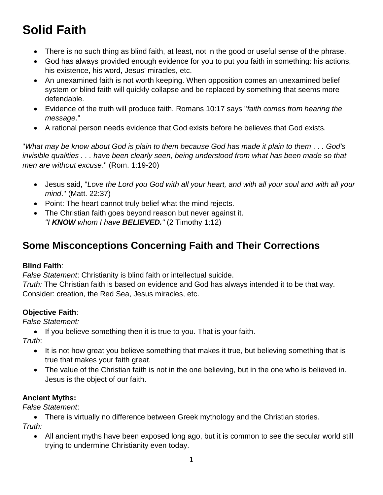# **Solid Faith**

- There is no such thing as blind faith, at least, not in the good or useful sense of the phrase.
- God has always provided enough evidence for you to put you faith in something: his actions, his existence, his word, Jesus' miracles, etc.
- An unexamined faith is not worth keeping. When opposition comes an unexamined belief system or blind faith will quickly collapse and be replaced by something that seems more defendable.
- Evidence of the truth will produce faith. Romans 10:17 says "*faith comes from hearing the message*."
- A rational person needs evidence that God exists before he believes that God exists.

"*What may be know about God is plain to them because God has made it plain to them . . . God's invisible qualities . . . have been clearly seen, being understood from what has been made so that men are without excuse*." (Rom. 1:19-20)

- Jesus said, "*Love the Lord you God with all your heart, and with all your soul and with all your mind*." (Matt. 22:37)
- Point: The heart cannot truly belief what the mind rejects.
- The Christian faith goes beyond reason but never against it. *"I KNOW whom I have BELIEVED."* (2 Timothy 1:12)

# **Some Misconceptions Concerning Faith and Their Corrections**

### **Blind Faith**:

*False Statement*: Christianity is blind faith or intellectual suicide. *Truth:* The Christian faith is based on evidence and God has always intended it to be that way. Consider: creation, the Red Sea, Jesus miracles, etc.

### **Objective Faith**:

*False Statement:*

• If you believe something then it is true to you. That is your faith.

*Truth*:

- It is not how great you believe something that makes it true, but believing something that is true that makes your faith great.
- The value of the Christian faith is not in the one believing, but in the one who is believed in. Jesus is the object of our faith.

### **Ancient Myths:**

*False Statement*:

 There is virtually no difference between Greek mythology and the Christian stories. *Truth:*

 All ancient myths have been exposed long ago, but it is common to see the secular world still trying to undermine Christianity even today.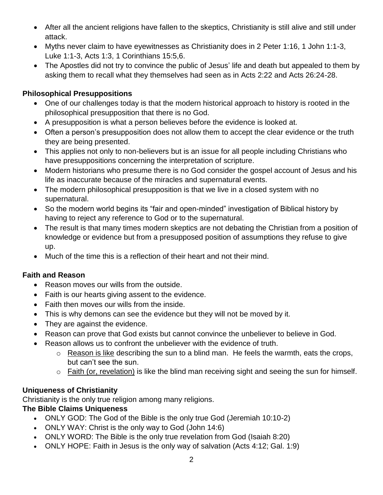- After all the ancient religions have fallen to the skeptics, Christianity is still alive and still under attack.
- Myths never claim to have eyewitnesses as Christianity does in 2 Peter 1:16, 1 John 1:1-3, Luke 1:1-3, Acts 1:3, 1 Corinthians 15:5,6.
- The Apostles did not try to convince the public of Jesus' life and death but appealed to them by asking them to recall what they themselves had seen as in Acts 2:22 and Acts 26:24-28.

#### **Philosophical Presuppositions**

- One of our challenges today is that the modern historical approach to history is rooted in the philosophical presupposition that there is no God.
- A presupposition is what a person believes before the evidence is looked at.
- Often a person's presupposition does not allow them to accept the clear evidence or the truth they are being presented.
- This applies not only to non-believers but is an issue for all people including Christians who have presuppositions concerning the interpretation of scripture.
- Modern historians who presume there is no God consider the gospel account of Jesus and his life as inaccurate because of the miracles and supernatural events.
- The modern philosophical presupposition is that we live in a closed system with no supernatural.
- So the modern world begins its "fair and open-minded" investigation of Biblical history by having to reject any reference to God or to the supernatural.
- The result is that many times modern skeptics are not debating the Christian from a position of knowledge or evidence but from a presupposed position of assumptions they refuse to give up.
- Much of the time this is a reflection of their heart and not their mind.

### **Faith and Reason**

- Reason moves our wills from the outside.
- Faith is our hearts giving assent to the evidence.
- Faith then moves our wills from the inside.
- This is why demons can see the evidence but they will not be moved by it.
- They are against the evidence.
- Reason can prove that God exists but cannot convince the unbeliever to believe in God.
- Reason allows us to confront the unbeliever with the evidence of truth.
	- o Reason is like describing the sun to a blind man. He feels the warmth, eats the crops, but can't see the sun.
	- o Faith (or, revelation) is like the blind man receiving sight and seeing the sun for himself.

#### **Uniqueness of Christianity**

Christianity is the only true religion among many religions.

#### **The Bible Claims Uniqueness**

- ONLY GOD: The God of the Bible is the only true God (Jeremiah 10:10-2)
- ONLY WAY: Christ is the only way to God (John 14:6)
- ONLY WORD: The Bible is the only true revelation from God (Isaiah 8:20)
- ONLY HOPE: Faith in Jesus is the only way of salvation (Acts 4:12; Gal. 1:9)